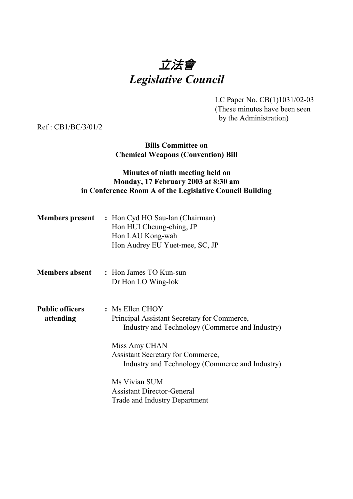# 立法會 *Legislative Council*

LC Paper No. CB(1)1031/02-03 (These minutes have been seen by the Administration)

Ref : CB1/BC/3/01/2

### **Bills Committee on Chemical Weapons (Convention) Bill**

## **Minutes of ninth meeting held on Monday, 17 February 2003 at 8:30 am in Conference Room A of the Legislative Council Building**

| <b>Members present</b>              | : Hon Cyd HO Sau-lan (Chairman)<br>Hon HUI Cheung-ching, JP<br>Hon LAU Kong-wah<br>Hon Audrey EU Yuet-mee, SC, JP |
|-------------------------------------|-------------------------------------------------------------------------------------------------------------------|
| <b>Members absent</b>               | : Hon James TO Kun-sun<br>Dr Hon LO Wing-lok                                                                      |
| <b>Public officers</b><br>attending | : Ms Ellen CHOY<br>Principal Assistant Secretary for Commerce,<br>Industry and Technology (Commerce and Industry) |
|                                     | Miss Amy CHAN<br><b>Assistant Secretary for Commerce,</b><br>Industry and Technology (Commerce and Industry)      |
|                                     | Ms Vivian SUM<br><b>Assistant Director-General</b><br>Trade and Industry Department                               |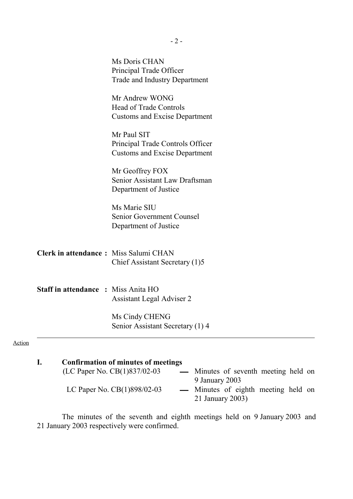|                                              | Ms Doris CHAN<br>Principal Trade Officer<br><b>Trade and Industry Department</b>        |
|----------------------------------------------|-----------------------------------------------------------------------------------------|
|                                              | Mr Andrew WONG<br><b>Head of Trade Controls</b><br><b>Customs and Excise Department</b> |
|                                              | Mr Paul SIT<br>Principal Trade Controls Officer<br><b>Customs and Excise Department</b> |
|                                              | Mr Geoffrey FOX<br>Senior Assistant Law Draftsman<br>Department of Justice              |
|                                              | Ms Marie SIU<br>Senior Government Counsel<br>Department of Justice                      |
| <b>Clerk in attendance:</b> Miss Salumi CHAN | Chief Assistant Secretary (1)5                                                          |
| <b>Staff in attendance : Miss Anita HO</b>   | <b>Assistant Legal Adviser 2</b>                                                        |
|                                              | Ms Cindy CHENG<br>Senior Assistant Secretary (1) 4                                      |

| Confirmation of minutes of meetings |                  |                                      |  |  |
|-------------------------------------|------------------|--------------------------------------|--|--|
| (LC Paper No. CB(1)837/02-03        |                  | — Minutes of seventh meeting held on |  |  |
|                                     | 9 January 2003   |                                      |  |  |
| LC Paper No. $CB(1)898/02-03$       |                  | — Minutes of eighth meeting held on  |  |  |
|                                     | 21 January 2003) |                                      |  |  |
|                                     |                  |                                      |  |  |

The minutes of the seventh and eighth meetings held on 9 January 2003 and 21 January 2003 respectively were confirmed.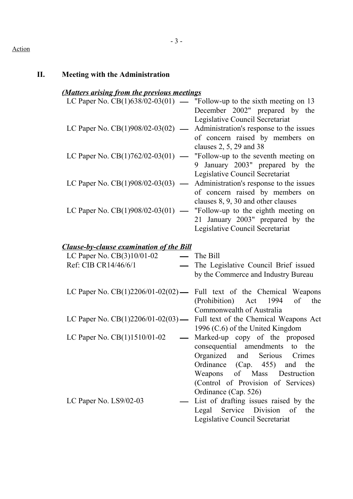# Action

| П. | <b>Meeting with the Administration</b>                              |                                                                                                                                                                                                                                                        |
|----|---------------------------------------------------------------------|--------------------------------------------------------------------------------------------------------------------------------------------------------------------------------------------------------------------------------------------------------|
|    | (Matters arising from the previous meetings                         |                                                                                                                                                                                                                                                        |
|    |                                                                     | LC Paper No. $CB(1)638/02-03(01)$ — "Follow-up to the sixth meeting on 13<br>December 2002" prepared by the<br>Legislative Council Secretariat                                                                                                         |
|    | LC Paper No. CB(1)908/02-03(02)                                     | Administration's response to the issues<br>of concern raised by members on<br>clauses 2, 5, 29 and 38                                                                                                                                                  |
|    | LC Paper No. $CB(1)762/02-03(01)$ —                                 | "Follow-up to the seventh meeting on<br>January 2003" prepared by the<br>9<br>Legislative Council Secretariat                                                                                                                                          |
|    | LC Paper No. CB(1)908/02-03(03)<br>$\overbrace{\qquad \qquad }^{ }$ | Administration's response to the issues<br>of concern raised by members on<br>clauses 8, 9, 30 and other clauses                                                                                                                                       |
|    | LC Paper No. CB(1)908/02-03(01) —                                   | "Follow-up to the eighth meeting on<br>21 January 2003" prepared by the<br>Legislative Council Secretariat                                                                                                                                             |
|    | <b>Clause-by-clause examination of the Bill</b>                     |                                                                                                                                                                                                                                                        |
|    | LC Paper No. $CB(3)10/01-02$                                        | The Bill                                                                                                                                                                                                                                               |
|    | Ref: CIB CR14/46/6/1                                                | The Legislative Council Brief issued<br>by the Commerce and Industry Bureau                                                                                                                                                                            |
|    | LC Paper No. CB(1)2206/01-02(02) —                                  | Full text of the Chemical Weapons<br>(Prohibition) Act 1994<br>of the<br>Commonwealth of Australia                                                                                                                                                     |
|    | LC Paper No. $CB(1)2206/01-02(03)$ —                                | Full text of the Chemical Weapons Act<br>1996 (C.6) of the United Kingdom                                                                                                                                                                              |
|    | LC Paper No. CB(1)1510/01-02                                        | Marked-up copy of the proposed<br>consequential amendments<br>to the<br>Organized<br>Serious<br>and<br>Crimes<br>Ordinance (Cap. 455)<br>and the<br>of<br>Weapons<br>Mass<br>Destruction<br>(Control of Provision of Services)<br>Ordinance (Cap. 526) |
|    | LC Paper No. LS9/02-03                                              | List of drafting issues raised by the<br>Service<br>Division<br>of<br>Legal<br>the<br>Legislative Council Secretariat                                                                                                                                  |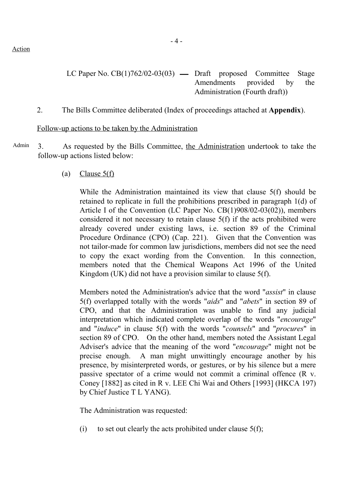Action

- LC Paper No.  $CB(1)762/02-03(03)$  Draft proposed Committee Stage Amendments provided by the Administration (Fourth draft))
- 2. The Bills Committee deliberated (Index of proceedings attached at **Appendix**).

#### Follow-up actions to be taken by the Administration

Admin 3. As requested by the Bills Committee, the Administration undertook to take the follow-up actions listed below:

(a) Clause  $5(f)$ 

While the Administration maintained its view that clause 5(f) should be retained to replicate in full the prohibitions prescribed in paragraph 1(d) of Article I of the Convention (LC Paper No. CB(1)908/02-03(02)), members considered it not necessary to retain clause 5(f) if the acts prohibited were already covered under existing laws, i.e. section 89 of the Criminal Procedure Ordinance (CPO) (Cap. 221). Given that the Convention was not tailor-made for common law jurisdictions, members did not see the need to copy the exact wording from the Convention. In this connection, members noted that the Chemical Weapons Act 1996 of the United Kingdom (UK) did not have a provision similar to clause 5(f).

Members noted the Administration's advice that the word "*assist*" in clause 5(f) overlapped totally with the words "*aids*" and "*abets*" in section 89 of CPO, and that the Administration was unable to find any judicial interpretation which indicated complete overlap of the words "*encourage*" and "*induce*" in clause 5(f) with the words "*counsels*" and "*procures*" in section 89 of CPO. On the other hand, members noted the Assistant Legal Adviser's advice that the meaning of the word "*encourage*" might not be precise enough. A man might unwittingly encourage another by his presence, by misinterpreted words, or gestures, or by his silence but a mere passive spectator of a crime would not commit a criminal offence (R v. Coney [1882] as cited in R v. LEE Chi Wai and Others [1993] (HKCA 197) by Chief Justice T L YANG).

The Administration was requested:

(i) to set out clearly the acts prohibited under clause  $5(f)$ ;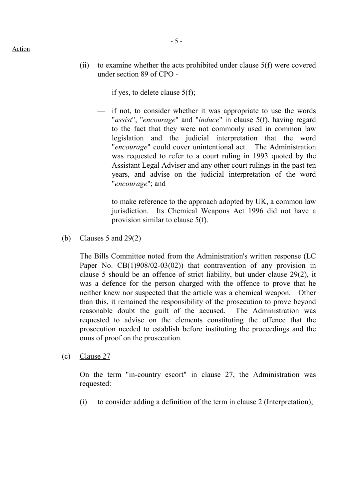- (ii) to examine whether the acts prohibited under clause 5(f) were covered under section 89 of CPO -
	- if yes, to delete clause  $5(f)$ ;
	- if not, to consider whether it was appropriate to use the words "*assist*", "*encourage*" and "*induce*" in clause 5(f), having regard to the fact that they were not commonly used in common law legislation and the judicial interpretation that the word "*encourage*" could cover unintentional act. The Administration was requested to refer to a court ruling in 1993 quoted by the Assistant Legal Adviser and any other court rulings in the past ten years, and advise on the judicial interpretation of the word "*encourage*"; and
	- to make reference to the approach adopted by UK, a common law jurisdiction. Its Chemical Weapons Act 1996 did not have a provision similar to clause 5(f).
- (b) Clauses 5 and 29(2)

The Bills Committee noted from the Administration's written response (LC Paper No. CB(1)908/02-03(02)) that contravention of any provision in clause 5 should be an offence of strict liability, but under clause 29(2), it was a defence for the person charged with the offence to prove that he neither knew nor suspected that the article was a chemical weapon. Other than this, it remained the responsibility of the prosecution to prove beyond reasonable doubt the guilt of the accused. The Administration was requested to advise on the elements constituting the offence that the prosecution needed to establish before instituting the proceedings and the onus of proof on the prosecution.

(c) Clause 27

On the term "in-country escort" in clause 27, the Administration was requested:

(i) to consider adding a definition of the term in clause 2 (Interpretation);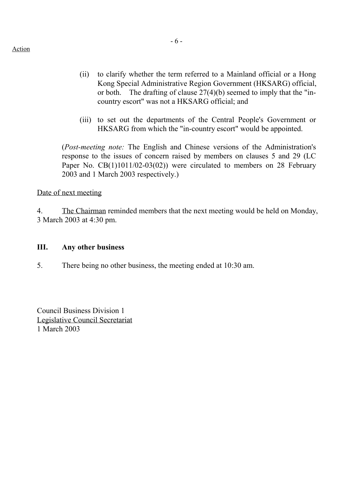- (ii) to clarify whether the term referred to a Mainland official or a Hong Kong Special Administrative Region Government (HKSARG) official, or both. The drafting of clause 27(4)(b) seemed to imply that the "incountry escort" was not a HKSARG official; and
- (iii) to set out the departments of the Central People's Government or HKSARG from which the "in-country escort" would be appointed.

(*Post-meeting note:* The English and Chinese versions of the Administration's response to the issues of concern raised by members on clauses 5 and 29 (LC Paper No. CB(1)1011/02-03(02)) were circulated to members on 28 February 2003 and 1 March 2003 respectively.)

Date of next meeting

4. The Chairman reminded members that the next meeting would be held on Monday, 3 March 2003 at 4:30 pm.

#### **III. Any other business**

5. There being no other business, the meeting ended at 10:30 am.

Council Business Division 1 Legislative Council Secretariat 1 March 2003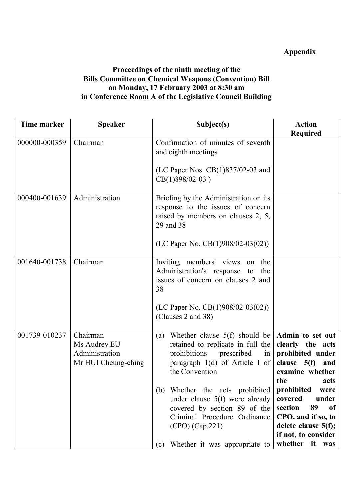# **Appendix**

## **Proceedings of the ninth meeting of the Bills Committee on Chemical Weapons (Convention) Bill on Monday, 17 February 2003 at 8:30 am in Conference Room A of the Legislative Council Building**

| <b>Time marker</b> | <b>Speaker</b>                                                    | Subject(s)                                                                                                                                                                                                                                                                                                                                                                                   | <b>Action</b>                                                                                                                                                                                                                                                                        |
|--------------------|-------------------------------------------------------------------|----------------------------------------------------------------------------------------------------------------------------------------------------------------------------------------------------------------------------------------------------------------------------------------------------------------------------------------------------------------------------------------------|--------------------------------------------------------------------------------------------------------------------------------------------------------------------------------------------------------------------------------------------------------------------------------------|
|                    |                                                                   |                                                                                                                                                                                                                                                                                                                                                                                              | <b>Required</b>                                                                                                                                                                                                                                                                      |
| 000000-000359      | Chairman                                                          | Confirmation of minutes of seventh<br>and eighth meetings<br>(LC Paper Nos. $CB(1)837/02-03$ and                                                                                                                                                                                                                                                                                             |                                                                                                                                                                                                                                                                                      |
| 000400-001639      | Administration                                                    | $CB(1)898/02-03)$<br>Briefing by the Administration on its<br>response to the issues of concern                                                                                                                                                                                                                                                                                              |                                                                                                                                                                                                                                                                                      |
|                    |                                                                   | raised by members on clauses 2, 5,<br>29 and 38                                                                                                                                                                                                                                                                                                                                              |                                                                                                                                                                                                                                                                                      |
|                    |                                                                   | (LC Paper No. $CB(1)908/02-03(02))$ )                                                                                                                                                                                                                                                                                                                                                        |                                                                                                                                                                                                                                                                                      |
| 001640-001738      | Chairman                                                          | Inviting members' views on<br>the<br>Administration's response to<br>the<br>issues of concern on clauses 2 and<br>38<br>(LC Paper No. CB(1)908/02-03(02))<br>(Clauses 2 and 38)                                                                                                                                                                                                              |                                                                                                                                                                                                                                                                                      |
| 001739-010237      | Chairman<br>Ms Audrey EU<br>Administration<br>Mr HUI Cheung-ching | Whether clause $5(f)$ should be<br>(a)<br>retained to replicate in full the<br>prohibitions prescribed<br>$\overline{\text{in}}$<br>paragraph $1(d)$ of Article I of<br>the Convention<br>(b) Whether the acts prohibited<br>under clause $5(f)$ were already<br>covered by section 89 of the<br>Criminal Procedure Ordinance<br>$(CPO)$ $(Cap.221)$<br>Whether it was appropriate to<br>(c) | Admin to set out<br>clearly the acts<br>prohibited under<br>clause $5(f)$<br>and<br>examine whether<br>the<br>acts<br>prohibited<br>were<br>covered<br>under<br>89<br>section<br><sub>of</sub><br>CPO, and if so, to<br>delete clause 5(f);<br>if not, to consider<br>whether it was |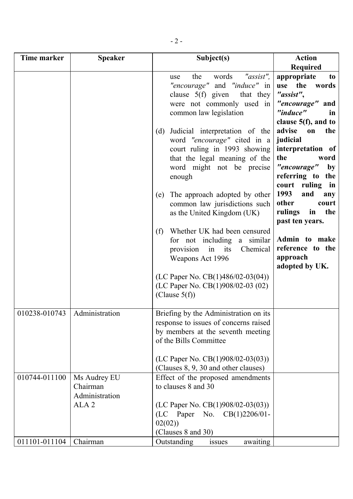| Time marker   | <b>Speaker</b>                                                 | Subject(s)                                                                                                                                                                                                                                                                                                                 | <b>Action</b>                                                                                                                                                                                                            |
|---------------|----------------------------------------------------------------|----------------------------------------------------------------------------------------------------------------------------------------------------------------------------------------------------------------------------------------------------------------------------------------------------------------------------|--------------------------------------------------------------------------------------------------------------------------------------------------------------------------------------------------------------------------|
|               |                                                                |                                                                                                                                                                                                                                                                                                                            | <b>Required</b>                                                                                                                                                                                                          |
|               |                                                                | "assist",<br>the<br>words<br>use<br>"encourage" and "induce" in<br>clause $5(f)$ given<br>that they<br>were not commonly used in<br>common law legislation                                                                                                                                                                 | appropriate<br>to<br>the<br>use<br>words<br>"assist",<br>"encourage" and<br>"induce"<br>in<br>clause $5(f)$ , and to                                                                                                     |
|               |                                                                | Judicial interpretation of the<br>(d)<br>word "encourage" cited in a<br>court ruling in 1993 showing<br>that the legal meaning of the<br>word might not be precise<br>enough<br>The approach adopted by other<br>(e)<br>common law jurisdictions such<br>as the United Kingdom (UK)<br>Whether UK had been censured<br>(f) | advise<br>the<br>on<br>judicial<br>interpretation of<br>the<br>word<br>"encourage"<br>by<br>referring to<br>the<br>court ruling<br>in<br>1993<br>and<br>any<br>other<br>court<br>rulings<br>the<br>in<br>past ten years. |
|               |                                                                | for not including a similar<br>provision<br>in<br>its<br>Chemical<br>Weapons Act 1996                                                                                                                                                                                                                                      | Admin to make<br>reference to the<br>approach<br>adopted by UK.                                                                                                                                                          |
|               |                                                                | (LC Paper No. CB $(1)486/02-03(04))$<br>(LC Paper No. CB(1)908/02-03 (02)<br>(Clause $5(f)$ )                                                                                                                                                                                                                              |                                                                                                                                                                                                                          |
| 010238-010743 | Administration                                                 | Briefing by the Administration on its<br>response to issues of concerns raised<br>by members at the seventh meeting<br>of the Bills Committee<br>(LC Paper No. CB $(1)908/02-03(03))$ )                                                                                                                                    |                                                                                                                                                                                                                          |
| 010744-011100 | Ms Audrey EU<br>Chairman<br>Administration<br>ALA <sub>2</sub> | (Clauses 8, 9, 30 and other clauses)<br>Effect of the proposed amendments<br>to clauses 8 and 30<br>(LC Paper No. CB $(1)908/02-03(03))$ )<br>(LC Paper No. CB(1)2206/01-<br>02(02)<br>(Clauses 8 and 30)                                                                                                                  |                                                                                                                                                                                                                          |
| 011101-011104 | Chairman                                                       | Outstanding<br>awaiting<br>issues                                                                                                                                                                                                                                                                                          |                                                                                                                                                                                                                          |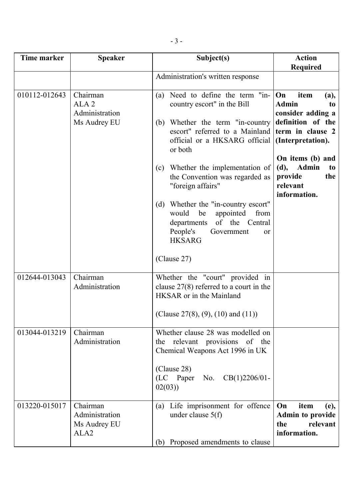| Time marker   | <b>Speaker</b>                                                 | Subject(s)                                                                                                                                                                                                                                                                                                                                                                                                                                                                             | <b>Action</b><br><b>Required</b>                                                                                                                                                                        |
|---------------|----------------------------------------------------------------|----------------------------------------------------------------------------------------------------------------------------------------------------------------------------------------------------------------------------------------------------------------------------------------------------------------------------------------------------------------------------------------------------------------------------------------------------------------------------------------|---------------------------------------------------------------------------------------------------------------------------------------------------------------------------------------------------------|
|               |                                                                | Administration's written response                                                                                                                                                                                                                                                                                                                                                                                                                                                      |                                                                                                                                                                                                         |
| 010112-012643 | Chairman<br>ALA <sub>2</sub><br>Administration<br>Ms Audrey EU | Need to define the term "in-<br>(a)<br>country escort" in the Bill<br>Whether the term "in-country<br>(b)<br>escort" referred to a Mainland term in clause 2<br>official or a HKSARG official<br>or both<br>Whether the implementation of<br>(c)<br>the Convention was regarded as<br>"foreign affairs"<br>Whether the "in-country escort"<br>(d)<br>would<br>be<br>appointed<br>from<br>of the Central<br>departments<br>People's<br>Government<br>or<br><b>HKSARG</b><br>(Clause 27) | On<br>item<br>(a),<br><b>Admin</b><br>to<br>consider adding a<br>definition of the<br>(Interpretation).<br>On items (b) and<br>(d),<br><b>Admin</b><br>to<br>provide<br>the<br>relevant<br>information. |
| 012644-013043 | Chairman<br>Administration                                     | Whether the "court" provided in<br>clause $27(8)$ referred to a court in the<br>HKSAR or in the Mainland<br>(Clause 27(8), (9), (10) and (11))                                                                                                                                                                                                                                                                                                                                         |                                                                                                                                                                                                         |
| 013044-013219 | Chairman<br>Administration                                     | Whether clause 28 was modelled on<br>relevant provisions of the<br>the<br>Chemical Weapons Act 1996 in UK<br>(Clause 28)<br>(LC Paper<br>$CB(1)2206/01$ -<br>No.<br>02(03)                                                                                                                                                                                                                                                                                                             |                                                                                                                                                                                                         |
| 013220-015017 | Chairman<br>Administration<br>Ms Audrey EU<br>ALA <sub>2</sub> | Life imprisonment for offence<br>(a)<br>under clause $5(f)$<br>(b) Proposed amendments to clause                                                                                                                                                                                                                                                                                                                                                                                       | item<br>On<br>(e),<br><b>Admin to provide</b><br>relevant<br>the<br>information.                                                                                                                        |